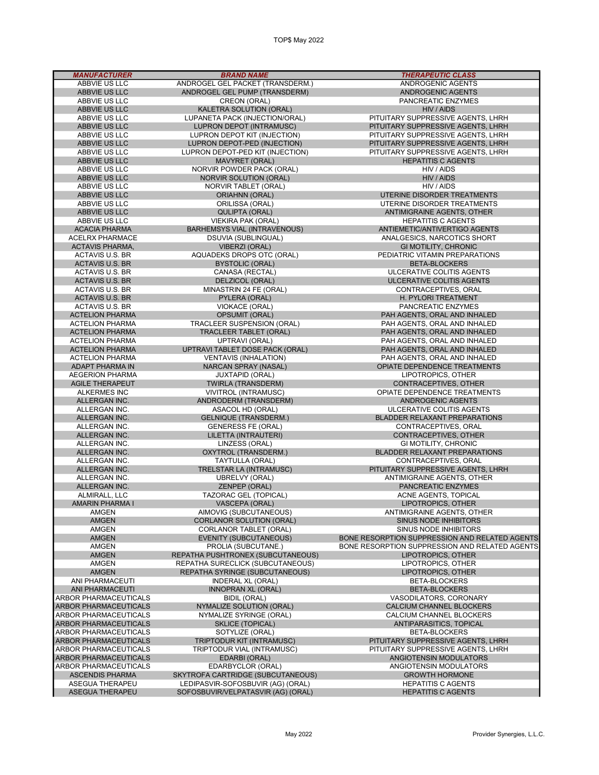| <b>MANUFACTURER</b>                             | <b>BRAND NAME</b>                                                       | <b>THERAPEUTIC CLASS</b>                                          |
|-------------------------------------------------|-------------------------------------------------------------------------|-------------------------------------------------------------------|
| ABBVIE US LLC                                   | ANDROGEL GEL PACKET (TRANSDERM.)                                        | ANDROGENIC AGENTS                                                 |
| ABBVIE US LLC                                   | ANDROGEL GEL PUMP (TRANSDERM)                                           | ANDROGENIC AGENTS                                                 |
| ABBVIE US LLC                                   | CREON (ORAL)                                                            | PANCREATIC ENZYMES                                                |
| ABBVIE US LLC<br>ABBVIE US LLC                  | KALETRA SOLUTION (ORAL)<br>LUPANETA PACK (INJECTION/ORAL)               | HIV / AIDS<br>PITUITARY SUPPRESSIVE AGENTS, LHRH                  |
| ABBVIE US LLC                                   | <b>LUPRON DEPOT (INTRAMUSC)</b>                                         | PITUITARY SUPPRESSIVE AGENTS, LHRH                                |
| ABBVIE US LLC                                   | LUPRON DEPOT KIT (INJECTION)                                            | PITUITARY SUPPRESSIVE AGENTS, LHRH                                |
| ABBVIE US LLC                                   | LUPRON DEPOT-PED (INJECTION)                                            | PITUITARY SUPPRESSIVE AGENTS, LHRH                                |
| ABBVIE US LLC                                   | LUPRON DEPOT-PED KIT (INJECTION)                                        | PITUITARY SUPPRESSIVE AGENTS, LHRH                                |
| ABBVIE US LLC                                   | MAVYRET (ORAL)                                                          | <b>HEPATITIS C AGENTS</b>                                         |
| ABBVIE US LLC                                   | NORVIR POWDER PACK (ORAL)                                               | HIV / AIDS                                                        |
| ABBVIE US LLC                                   | <b>NORVIR SOLUTION (ORAL)</b>                                           | HIV / AIDS                                                        |
| ABBVIE US LLC                                   | NORVIR TABLET (ORAL)                                                    | HIV / AIDS                                                        |
| ABBVIE US LLC                                   | <b>ORIAHNN (ORAL)</b>                                                   | UTERINE DISORDER TREATMENTS                                       |
| ABBVIE US LLC<br>ABBVIE US LLC                  | ORILISSA (ORAL)<br><b>QULIPTA (ORAL)</b>                                | UTERINE DISORDER TREATMENTS<br>ANTIMIGRAINE AGENTS, OTHER         |
| ABBVIE US LLC                                   | <b>VIEKIRA PAK (ORAL)</b>                                               | <b>HEPATITIS C AGENTS</b>                                         |
| <b>ACACIA PHARMA</b>                            | <b>BARHEMSYS VIAL (INTRAVENOUS)</b>                                     | ANTIEMETIC/ANTIVERTIGO AGENTS                                     |
| <b>ACELRX PHARMACE</b>                          | <b>DSUVIA (SUBLINGUAL)</b>                                              | ANALGESICS, NARCOTICS SHORT                                       |
| <b>ACTAVIS PHARMA,</b>                          | <b>VIBERZI (ORAL)</b>                                                   | GI MOTILITY, CHRONIC                                              |
| ACTAVIS U.S. BR                                 | AQUADEKS DROPS OTC (ORAL)                                               | PEDIATRIC VITAMIN PREPARATIONS                                    |
| <b>ACTAVIS U.S. BR</b>                          | <b>BYSTOLIC (ORAL)</b>                                                  | <b>BETA-BLOCKERS</b>                                              |
| <b>ACTAVIS U.S. BR</b>                          | CANASA (RECTAL)                                                         | ULCERATIVE COLITIS AGENTS                                         |
| <b>ACTAVIS U.S. BR</b>                          | DELZICOL (ORAL)                                                         | ULCERATIVE COLITIS AGENTS                                         |
| <b>ACTAVIS U.S. BR</b>                          | MINASTRIN 24 FE (ORAL)                                                  | CONTRACEPTIVES, ORAL                                              |
| <b>ACTAVIS U.S. BR</b>                          | PYLERA (ORAL)                                                           | H. PYLORI TREATMENT                                               |
| ACTAVIS U.S. BR<br><b>ACTELION PHARMA</b>       | VIOKACE (ORAL)                                                          | PANCREATIC ENZYMES                                                |
| <b>ACTELION PHARMA</b>                          | <b>OPSUMIT (ORAL)</b><br>TRACLEER SUSPENSION (ORAL)                     | PAH AGENTS, ORAL AND INHALED<br>PAH AGENTS, ORAL AND INHALED      |
| <b>ACTELION PHARMA</b>                          | <b>TRACLEER TABLET (ORAL)</b>                                           | PAH AGENTS, ORAL AND INHALED                                      |
| <b>ACTELION PHARMA</b>                          | UPTRAVI (ORAL)                                                          | PAH AGENTS, ORAL AND INHALED                                      |
| <b>ACTELION PHARMA</b>                          | UPTRAVI TABLET DOSE PACK (ORAL)                                         | PAH AGENTS, ORAL AND INHALED                                      |
| <b>ACTELION PHARMA</b>                          | <b>VENTAVIS (INHALATION)</b>                                            | PAH AGENTS, ORAL AND INHALED                                      |
| ADAPT PHARMA IN                                 | NARCAN SPRAY (NASAL)                                                    | OPIATE DEPENDENCE TREATMENTS                                      |
| <b>AEGERION PHARMA</b>                          | <b>JUXTAPID (ORAL)</b>                                                  | LIPOTROPICS, OTHER                                                |
| <b>AGILE THERAPEUT</b>                          | <b>TWIRLA (TRANSDERM)</b>                                               | CONTRACEPTIVES, OTHER                                             |
| <b>ALKERMES INC</b>                             | VIVITROL (INTRAMUSC)                                                    | OPIATE DEPENDENCE TREATMENTS                                      |
| ALLERGAN INC.                                   | ANDRODERM (TRANSDERM)                                                   | ANDROGENIC AGENTS                                                 |
| ALLERGAN INC.<br>ALLERGAN INC.                  | ASACOL HD (ORAL)<br><b>GELNIQUE (TRANSDERM.)</b>                        | ULCERATIVE COLITIS AGENTS<br><b>BLADDER RELAXANT PREPARATIONS</b> |
| ALLERGAN INC.                                   | <b>GENERESS FE (ORAL)</b>                                               | CONTRACEPTIVES, ORAL                                              |
| ALLERGAN INC.                                   | LILETTA (INTRAUTERI)                                                    | CONTRACEPTIVES, OTHER                                             |
| ALLERGAN INC.                                   | LINZESS (ORAL)                                                          | <b>GI MOTILITY, CHRONIC</b>                                       |
| ALLERGAN INC.                                   | OXYTROL (TRANSDERM.)                                                    | BLADDER RELAXANT PREPARATIONS                                     |
| ALLERGAN INC.                                   | TAYTULLA (ORAL)                                                         | CONTRACEPTIVES, ORAL                                              |
| ALLERGAN INC.                                   | TRELSTAR LA (INTRAMUSC)                                                 | PITUITARY SUPPRESSIVE AGENTS, LHRH                                |
| ALLERGAN INC.                                   | <b>UBRELVY (ORAL)</b>                                                   | ANTIMIGRAINE AGENTS, OTHER                                        |
| ALLERGAN INC.                                   | ZENPEP (ORAL)                                                           | PANCREATIC ENZYMES                                                |
| ALMIRALL, LLC<br><b>AMARIN PHARMA I</b>         | <b>TAZORAC GEL (TOPICAL)</b>                                            | ACNE AGENTS, TOPICAL                                              |
| <b>AMGEN</b>                                    | <b>VASCEPA (ORAL)</b><br>AIMOVIG (SUBCUTANEOUS)                         | LIPOTROPICS, OTHER<br>ANTIMIGRAINE AGENTS, OTHER                  |
| <b>AMGEN</b>                                    | <b>CORLANOR SOLUTION (ORAL)</b>                                         | <b>SINUS NODE INHIBITORS</b>                                      |
| AMGEN                                           | CORLANOR TABLET (ORAL)                                                  | SINUS NODE INHIBITORS                                             |
| <b>AMGEN</b>                                    | <b>EVENITY (SUBCUTANEOUS)</b>                                           | BONE RESORPTION SUPPRESSION AND RELATED AGENTS                    |
| AMGEN                                           | PROLIA (SUBCUTANE.)                                                     | BONE RESORPTION SUPPRESSION AND RELATED AGENTS                    |
| <b>AMGEN</b>                                    | REPATHA PUSHTRONEX (SUBCUTANEOUS)                                       | LIPOTROPICS, OTHER                                                |
| AMGEN                                           | REPATHA SURECLICK (SUBCUTANEOUS)                                        | LIPOTROPICS, OTHER                                                |
| <b>AMGEN</b>                                    | REPATHA SYRINGE (SUBCUTANEOUS)                                          | LIPOTROPICS, OTHER                                                |
| ANI PHARMACEUTI                                 | <b>INDERAL XL (ORAL)</b>                                                | <b>BETA-BLOCKERS</b>                                              |
| <b>ANI PHARMACEUTI</b><br>ARBOR PHARMACEUTICALS | <b>INNOPRAN XL (ORAL)</b><br><b>BIDIL (ORAL)</b>                        | <b>BETA-BLOCKERS</b><br>VASODILATORS, CORONARY                    |
| <b>ARBOR PHARMACEUTICALS</b>                    | <b>NYMALIZE SOLUTION (ORAL)</b>                                         | CALCIUM CHANNEL BLOCKERS                                          |
| ARBOR PHARMACEUTICALS                           | NYMALIZE SYRINGE (ORAL)                                                 | CALCIUM CHANNEL BLOCKERS                                          |
| ARBOR PHARMACEUTICALS                           | <b>SKLICE (TOPICAL)</b>                                                 | ANTIPARASITICS, TOPICAL                                           |
| ARBOR PHARMACEUTICALS                           | SOTYLIZE (ORAL)                                                         | BETA-BLOCKERS                                                     |
| ARBOR PHARMACEUTICALS                           | TRIPTODUR KIT (INTRAMUSC)                                               | PITUITARY SUPPRESSIVE AGENTS, LHRH                                |
| ARBOR PHARMACEUTICALS                           | TRIPTODUR VIAL (INTRAMUSC)                                              | PITUITARY SUPPRESSIVE AGENTS, LHRH                                |
| <b>ARBOR PHARMACEUTICALS</b>                    | EDARBI (ORAL)                                                           | ANGIOTENSIN MODULATORS                                            |
| ARBOR PHARMACEUTICALS                           | EDARBYCLOR (ORAL)                                                       | ANGIOTENSIN MODULATORS                                            |
| <b>ASCENDIS PHARMA</b>                          | SKYTROFA CARTRIDGE (SUBCUTANEOUS)                                       | <b>GROWTH HORMONE</b>                                             |
| ASEGUA THERAPEU<br><b>ASEGUA THERAPEU</b>       | LEDIPASVIR-SOFOSBUVIR (AG) (ORAL)<br>SOFOSBUVIR/VELPATASVIR (AG) (ORAL) | <b>HEPATITIS C AGENTS</b><br><b>HEPATITIS C AGENTS</b>            |
|                                                 |                                                                         |                                                                   |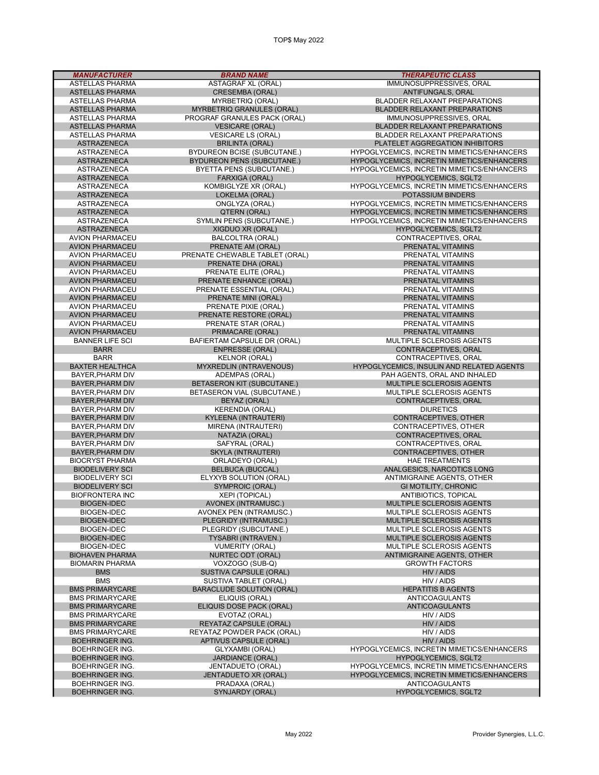TOP\$ May 2022

| <b>MANUFACTURER</b>                              | <b>BRAND NAME</b>                                         | <b>THERAPEUTIC CLASS</b>                                                  |
|--------------------------------------------------|-----------------------------------------------------------|---------------------------------------------------------------------------|
| ASTELLAS PHARMA                                  | <b>ASTAGRAF XL (ORAL)</b>                                 | IMMUNOSUPPRESSIVES, ORAL                                                  |
| <b>ASTELLAS PHARMA</b>                           | <b>CRESEMBA (ORAL)</b>                                    | ANTIFUNGALS, ORAL                                                         |
| ASTELLAS PHARMA                                  | <b>MYRBETRIQ (ORAL)</b>                                   | <b>BLADDER RELAXANT PREPARATIONS</b>                                      |
| <b>ASTELLAS PHARMA</b><br><b>ASTELLAS PHARMA</b> | MYRBETRIQ GRANULES (ORAL)<br>PROGRAF GRANULES PACK (ORAL) | <b>BLADDER RELAXANT PREPARATIONS</b><br>IMMUNOSUPPRESSIVES, ORAL          |
| <b>ASTELLAS PHARMA</b>                           | <b>VESICARE (ORAL)</b>                                    | <b>BLADDER RELAXANT PREPARATIONS</b>                                      |
| <b>ASTELLAS PHARMA</b>                           | <b>VESICARE LS (ORAL)</b>                                 | BLADDER RELAXANT PREPARATIONS                                             |
| <b>ASTRAZENECA</b>                               | <b>BRILINTA (ORAL)</b>                                    | PLATELET AGGREGATION INHIBITORS                                           |
| ASTRAZENECA                                      | <b>BYDUREON BCISE (SUBCUTANE.)</b>                        | HYPOGLYCEMICS, INCRETIN MIMETICS/ENHANCERS                                |
| <b>ASTRAZENECA</b>                               | <b>BYDUREON PENS (SUBCUTANE.)</b>                         | HYPOGLYCEMICS, INCRETIN MIMETICS/ENHANCERS                                |
| <b>ASTRAZENECA</b>                               | BYETTA PENS (SUBCUTANE.)                                  | HYPOGLYCEMICS, INCRETIN MIMETICS/ENHANCERS                                |
| <b>ASTRAZENECA</b>                               | FARXIGA (ORAL)                                            | HYPOGLYCEMICS, SGLT2                                                      |
| ASTRAZENECA                                      | KOMBIGLYZE XR (ORAL)                                      | HYPOGLYCEMICS, INCRETIN MIMETICS/ENHANCERS                                |
| <b>ASTRAZENECA</b>                               | LOKELMA (ORAL)                                            | POTASSIUM BINDERS                                                         |
| ASTRAZENECA                                      | ONGLYZA (ORAL)                                            | HYPOGLYCEMICS, INCRETIN MIMETICS/ENHANCERS                                |
| <b>ASTRAZENECA</b>                               | QTERN (ORAL)                                              | HYPOGLYCEMICS, INCRETIN MIMETICS/ENHANCERS                                |
| ASTRAZENECA<br><b>ASTRAZENECA</b>                | SYMLIN PENS (SUBCUTANE.)<br>XIGDUO XR (ORAL)              | HYPOGLYCEMICS, INCRETIN MIMETICS/ENHANCERS<br><b>HYPOGLYCEMICS, SGLT2</b> |
| <b>AVION PHARMACEU</b>                           | BALCOLTRA (ORAL)                                          | CONTRACEPTIVES, ORAL                                                      |
| <b>AVION PHARMACEU</b>                           | PRENATE AM (ORAL)                                         | PRENATAL VITAMINS                                                         |
| <b>AVION PHARMACEU</b>                           | PRENATE CHEWABLE TABLET (ORAL)                            | PRENATAL VITAMINS                                                         |
| <b>AVION PHARMACEU</b>                           | PRENATE DHA (ORAL)                                        | PRENATAL VITAMINS                                                         |
| <b>AVION PHARMACEU</b>                           | PRENATE ELITE (ORAL)                                      | PRENATAL VITAMINS                                                         |
| <b>AVION PHARMACEU</b>                           | PRENATE ENHANCE (ORAL)                                    | PRENATAL VITAMINS                                                         |
| <b>AVION PHARMACEU</b>                           | PRENATE ESSENTIAL (ORAL)                                  | PRENATAL VITAMINS                                                         |
| <b>AVION PHARMACEU</b>                           | PRENATE MINI (ORAL)                                       | PRENATAL VITAMINS                                                         |
| <b>AVION PHARMACEU</b>                           | PRENATE PIXIE (ORAL)                                      | PRENATAL VITAMINS                                                         |
| <b>AVION PHARMACEU</b>                           | PRENATE RESTORE (ORAL)                                    | PRENATAL VITAMINS                                                         |
| <b>AVION PHARMACEU</b>                           | PRENATE STAR (ORAL)                                       | PRENATAL VITAMINS                                                         |
| <b>AVION PHARMACEU</b><br><b>BANNER LIFE SCI</b> | PRIMACARE (ORAL)<br>BAFIERTAM CAPSULE DR (ORAL)           | PRENATAL VITAMINS<br>MULTIPLE SCLEROSIS AGENTS                            |
| <b>BARR</b>                                      | <b>ENPRESSE (ORAL)</b>                                    | CONTRACEPTIVES, ORAL                                                      |
| <b>BARR</b>                                      | <b>KELNOR (ORAL)</b>                                      | CONTRACEPTIVES, ORAL                                                      |
| <b>BAXTER HEALTHCA</b>                           | <b>MYXREDLIN (INTRAVENOUS)</b>                            | HYPOGLYCEMICS, INSULIN AND RELATED AGENTS                                 |
| BAYER, PHARM DIV                                 | ADEMPAS (ORAL)                                            | PAH AGENTS, ORAL AND INHALED                                              |
| <b>BAYER, PHARM DIV</b>                          | <b>BETASERON KIT (SUBCUTANE.)</b>                         | MULTIPLE SCLEROSIS AGENTS                                                 |
| BAYER, PHARM DIV                                 | BETASERON VIAL (SUBCUTANE.)                               | MULTIPLE SCLEROSIS AGENTS                                                 |
| <b>BAYER, PHARM DIV</b>                          | BEYAZ (ORAL)                                              | CONTRACEPTIVES, ORAL                                                      |
| BAYER, PHARM DIV                                 | <b>KERENDIA (ORAL)</b>                                    | <b>DIURETICS</b>                                                          |
| <b>BAYER, PHARM DIV</b>                          | KYLEENA (INTRAUTERI)                                      | CONTRACEPTIVES, OTHER                                                     |
| BAYER, PHARM DIV                                 | MIRENA (INTRAUTERI)                                       | CONTRACEPTIVES, OTHER                                                     |
| <b>BAYER, PHARM DIV</b><br>BAYER, PHARM DIV      | NATAZIA (ORAL)<br>SAFYRAL (ORAL)                          | CONTRACEPTIVES, ORAL<br>CONTRACEPTIVES, ORAL                              |
| <b>BAYER, PHARM DIV</b>                          | <b>SKYLA (INTRAUTERI)</b>                                 | CONTRACEPTIVES, OTHER                                                     |
| <b>BIOCRYST PHARMA</b>                           | ORLADEYO (ORAL)                                           | <b>HAE TREATMENTS</b>                                                     |
| <b>BIODELIVERY SCI</b>                           | <b>BELBUCA (BUCCAL)</b>                                   | ANALGESICS, NARCOTICS LONG                                                |
| <b>BIODELIVERY SCI</b>                           | ELYXYB SOLUTION (ORAL)                                    | ANTIMIGRAINE AGENTS, OTHER                                                |
| <b>BIODELIVERY SCI</b>                           | SYMPROIC (ORAL)                                           | GI MOTILITY, CHRONIC                                                      |
| <b>BIOFRONTERA INC</b>                           | XEPI (TOPICAL)                                            | ANTIBIOTICS, TOPICAL                                                      |
| <b>BIOGEN-IDEC</b>                               | AVONEX (INTRAMUSC.)                                       | MULTIPLE SCLEROSIS AGENTS                                                 |
| <b>BIOGEN-IDEC</b>                               | AVONEX PEN (INTRAMUSC.)                                   | MULTIPLE SCLEROSIS AGENTS                                                 |
| <b>BIOGEN-IDEC</b>                               | PLEGRIDY (INTRAMUSC.)                                     | <b>MULTIPLE SCLEROSIS AGENTS</b>                                          |
| <b>BIOGEN-IDEC</b>                               | PLEGRIDY (SUBCUTANE.)                                     | MULTIPLE SCLEROSIS AGENTS                                                 |
| <b>BIOGEN-IDEC</b>                               | <b>TYSABRI (INTRAVEN.)</b>                                | <b>MULTIPLE SCLEROSIS AGENTS</b>                                          |
| <b>BIOGEN-IDEC</b><br><b>BIOHAVEN PHARMA</b>     | <b>VUMERITY (ORAL)</b><br><b>NURTEC ODT (ORAL)</b>        | MULTIPLE SCLEROSIS AGENTS<br><b>ANTIMIGRAINE AGENTS, OTHER</b>            |
| <b>BIOMARIN PHARMA</b>                           | VOXZOGO (SUB-Q)                                           | <b>GROWTH FACTORS</b>                                                     |
| <b>BMS</b>                                       | SUSTIVA CAPSULE (ORAL)                                    | HIV / AIDS                                                                |
| <b>BMS</b>                                       | SUSTIVA TABLET (ORAL)                                     | HIV / AIDS                                                                |
| <b>BMS PRIMARYCARE</b>                           | <b>BARACLUDE SOLUTION (ORAL)</b>                          | <b>HEPATITIS B AGENTS</b>                                                 |
| <b>BMS PRIMARYCARE</b>                           | ELIQUIS (ORAL)                                            | <b>ANTICOAGULANTS</b>                                                     |
| <b>BMS PRIMARYCARE</b>                           | ELIQUIS DOSE PACK (ORAL)                                  | <b>ANTICOAGULANTS</b>                                                     |
| <b>BMS PRIMARYCARE</b>                           | EVOTAZ (ORAL)                                             | HIV / AIDS                                                                |
| <b>BMS PRIMARYCARE</b>                           | REYATAZ CAPSULE (ORAL)                                    | HIV / AIDS                                                                |
| <b>BMS PRIMARYCARE</b>                           | REYATAZ POWDER PACK (ORAL)                                | HIV / AIDS                                                                |
| <b>BOEHRINGER ING.</b>                           | APTIVUS CAPSULE (ORAL)                                    | HIV / AIDS                                                                |
| <b>BOEHRINGER ING.</b>                           | GLYXAMBI (ORAL)                                           | HYPOGLYCEMICS, INCRETIN MIMETICS/ENHANCERS                                |
| <b>BOEHRINGER ING.</b><br><b>BOEHRINGER ING.</b> | <b>JARDIANCE (ORAL)</b><br>JENTADUETO (ORAL)              | <b>HYPOGLYCEMICS, SGLT2</b><br>HYPOGLYCEMICS, INCRETIN MIMETICS/ENHANCERS |
| <b>BOEHRINGER ING.</b>                           | JENTADUETO XR (ORAL)                                      | HYPOGLYCEMICS, INCRETIN MIMETICS/ENHANCERS                                |
| <b>BOEHRINGER ING.</b>                           | PRADAXA (ORAL)                                            | <b>ANTICOAGULANTS</b>                                                     |
| <b>BOEHRINGER ING.</b>                           | SYNJARDY (ORAL)                                           | <b>HYPOGLYCEMICS, SGLT2</b>                                               |

ī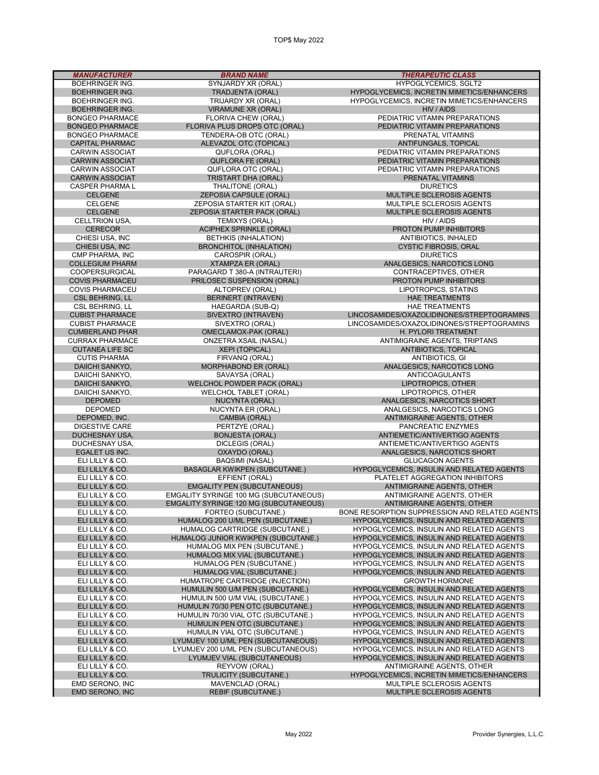| <b>MANUFACTURER</b>                              | <b>BRAND NAME</b>                                                            | <b>THERAPEUTIC CLASS</b>                                                               |
|--------------------------------------------------|------------------------------------------------------------------------------|----------------------------------------------------------------------------------------|
| <b>BOEHRINGER ING.</b>                           | SYNJARDY XR (ORAL)                                                           | <b>HYPOGLYCEMICS, SGLT2</b>                                                            |
| <b>BOEHRINGER ING.</b>                           | <b>TRADJENTA (ORAL)</b>                                                      | HYPOGLYCEMICS, INCRETIN MIMETICS/ENHANCERS                                             |
| <b>BOEHRINGER ING.</b>                           | TRIJARDY XR (ORAL)                                                           | HYPOGLYCEMICS, INCRETIN MIMETICS/ENHANCERS                                             |
| <b>BOEHRINGER ING.</b>                           | <b>VIRAMUNE XR (ORAL)</b>                                                    | HIV / AIDS                                                                             |
| <b>BONGEO PHARMACE</b>                           | FLORIVA CHEW (ORAL)                                                          | PEDIATRIC VITAMIN PREPARATIONS                                                         |
| <b>BONGEO PHARMACE</b><br><b>BONGEO PHARMACE</b> | FLORIVA PLUS DROPS OTC (ORAL)                                                | PEDIATRIC VITAMIN PREPARATIONS                                                         |
| <b>CAPITAL PHARMAC</b>                           | TENDERA-OB OTC (ORAL)<br>ALEVAZOL OTC (TOPICAL)                              | PRENATAL VITAMINS<br>ANTIFUNGALS, TOPICAL                                              |
| <b>CARWIN ASSOCIAT</b>                           | QUFLORA (ORAL)                                                               | PEDIATRIC VITAMIN PREPARATIONS                                                         |
| <b>CARWIN ASSOCIAT</b>                           | <b>QUFLORA FE (ORAL)</b>                                                     | PEDIATRIC VITAMIN PREPARATIONS                                                         |
| <b>CARWIN ASSOCIAT</b>                           | QUFLORA OTC (ORAL)                                                           | PEDIATRIC VITAMIN PREPARATIONS                                                         |
| <b>CARWIN ASSOCIAT</b>                           | TRISTART DHA (ORAL)                                                          | PRENATAL VITAMINS                                                                      |
| <b>CASPER PHARMAL</b>                            | THALITONE (ORAL)                                                             | <b>DIURETICS</b>                                                                       |
| <b>CELGENE</b>                                   | <b>ZEPOSIA CAPSULE (ORAL)</b>                                                | MULTIPLE SCLEROSIS AGENTS                                                              |
| <b>CELGENE</b>                                   | ZEPOSIA STARTER KIT (ORAL)                                                   | MULTIPLE SCLEROSIS AGENTS                                                              |
| <b>CELGENE</b>                                   | ZEPOSIA STARTER PACK (ORAL)                                                  | MULTIPLE SCLEROSIS AGENTS                                                              |
| CELLTRION USA,                                   | TEMIXYS (ORAL)                                                               | HIV / AIDS                                                                             |
| <b>CERECOR</b>                                   | <b>ACIPHEX SPRINKLE (ORAL)</b>                                               | PROTON PUMP INHIBITORS                                                                 |
| CHIESI USA, INC                                  | BETHKIS (INHALATION)                                                         | ANTIBIOTICS, INHALED                                                                   |
| CHIESI USA, INC<br>CMP PHARMA, INC               | <b>BRONCHITOL (INHALATION)</b><br>CAROSPIR (ORAL)                            | <b>CYSTIC FIBROSIS, ORAL</b><br><b>DIURETICS</b>                                       |
| <b>COLLEGIUM PHARM</b>                           | <b>XTAMPZA ER (ORAL)</b>                                                     | ANALGESICS, NARCOTICS LONG                                                             |
| <b>COOPERSURGICAL</b>                            | PARAGARD T 380-A (INTRAUTERI)                                                | CONTRACEPTIVES, OTHER                                                                  |
| <b>COVIS PHARMACEU</b>                           | PRILOSEC SUSPENSION (ORAL)                                                   | PROTON PUMP INHIBITORS                                                                 |
| <b>COVIS PHARMACEU</b>                           | ALTOPREV (ORAL)                                                              | LIPOTROPICS, STATINS                                                                   |
| <b>CSL BEHRING, LL</b>                           | <b>BERINERT (INTRAVEN)</b>                                                   | <b>HAE TREATMENTS</b>                                                                  |
| <b>CSL BEHRING, LL</b>                           | HAEGARDA (SUB-Q)                                                             | <b>HAE TREATMENTS</b>                                                                  |
| <b>CUBIST PHARMACE</b>                           | SIVEXTRO (INTRAVEN)                                                          | LINCOSAMIDES/OXAZOLIDINONES/STREPTOGRAMINS                                             |
| <b>CUBIST PHARMACE</b>                           | SIVEXTRO (ORAL)                                                              | LINCOSAMIDES/OXAZOLIDINONES/STREPTOGRAMINS                                             |
| <b>CUMBERLAND PHAR</b>                           | OMECLAMOX-PAK (ORAL)                                                         | H. PYLORI TREATMENT                                                                    |
| <b>CURRAX PHARMACE</b>                           | <b>ONZETRA XSAIL (NASAL)</b>                                                 | ANTIMIGRAINE AGENTS, TRIPTANS                                                          |
| <b>CUTANEA LIFE SC</b>                           | <b>XEPI (TOPICAL)</b>                                                        | ANTIBIOTICS, TOPICAL                                                                   |
| <b>CUTIS PHARMA</b>                              | FIRVANQ (ORAL)                                                               | ANTIBIOTICS, GI                                                                        |
| DAIICHI SANKYO,                                  | <b>MORPHABOND ER (ORAL)</b>                                                  | ANALGESICS, NARCOTICS LONG                                                             |
| DAIICHI SANKYO,<br>DAIICHI SANKYO,               | SAVAYSA (ORAL)<br>WELCHOL POWDER PACK (ORAL)                                 | <b>ANTICOAGULANTS</b><br>LIPOTROPICS, OTHER                                            |
| DAIICHI SANKYO,                                  | <b>WELCHOL TABLET (ORAL)</b>                                                 | LIPOTROPICS, OTHER                                                                     |
| <b>DEPOMED</b>                                   | <b>NUCYNTA (ORAL)</b>                                                        | ANALGESICS, NARCOTICS SHORT                                                            |
| <b>DEPOMED</b>                                   | NUCYNTA ER (ORAL)                                                            | ANALGESICS, NARCOTICS LONG                                                             |
| DEPOMED, INC.                                    | CAMBIA (ORAL)                                                                | ANTIMIGRAINE AGENTS, OTHER                                                             |
| <b>DIGESTIVE CARE</b>                            | PERTZYE (ORAL)                                                               | PANCREATIC ENZYMES                                                                     |
| DUCHESNAY USA,                                   | <b>BONJESTA (ORAL)</b>                                                       | ANTIEMETIC/ANTIVERTIGO AGENTS                                                          |
| DUCHESNAY USA,                                   | DICLEGIS (ORAL)                                                              | ANTIEMETIC/ANTIVERTIGO AGENTS                                                          |
| EGALET US INC.                                   | OXAYDO (ORAL)                                                                | ANALGESICS, NARCOTICS SHORT                                                            |
| ELI LILLY & CO.                                  | <b>BAQSIMI (NASAL)</b>                                                       | <b>GLUCAGON AGENTS</b>                                                                 |
| ELI LILLY & CO.                                  | <b>BASAGLAR KWIKPEN (SUBCUTANE.)</b>                                         | HYPOGLYCEMICS, INSULIN AND RELATED AGENTS                                              |
| ELI LILLY & CO.                                  | EFFIENT (ORAL)                                                               | PLATELET AGGREGATION INHIBITORS                                                        |
| ELI LILLY & CO.<br>ELI LILLY & CO.               | <b>EMGALITY PEN (SUBCUTANEOUS)</b><br>EMGALITY SYRINGE 100 MG (SUBCUTANEOUS) | ANTIMIGRAINE AGENTS, OTHER<br>ANTIMIGRAINE AGENTS, OTHER                               |
| ELI LILLY & CO.                                  | <b>EMGALITY SYRINGE 120 MG (SUBCUTANEOUS)</b>                                | ANTIMIGRAINE AGENTS, OTHER                                                             |
| ELI LILLY & CO.                                  | FORTEO (SUBCUTANE.)                                                          | BONE RESORPTION SUPPRESSION AND RELATED AGENTS                                         |
| ELI LILLY & CO.                                  | HUMALOG 200 U/ML PEN (SUBCUTANE.)                                            | HYPOGLYCEMICS, INSULIN AND RELATED AGENTS                                              |
| ELI LILLY & CO.                                  | HUMALOG CARTRIDGE (SUBCUTANE.)                                               | HYPOGLYCEMICS, INSULIN AND RELATED AGENTS                                              |
| ELI LILLY & CO.                                  | HUMALOG JUNIOR KWIKPEN (SUBCUTANE.)                                          | HYPOGLYCEMICS, INSULIN AND RELATED AGENTS                                              |
| ELI LILLY & CO.                                  | HUMALOG MIX PEN (SUBCUTANE.)                                                 | HYPOGLYCEMICS, INSULIN AND RELATED AGENTS                                              |
| ELI LILLY & CO.                                  | HUMALOG MIX VIAL (SUBCUTANE.)                                                | HYPOGLYCEMICS, INSULIN AND RELATED AGENTS                                              |
| ELI LILLY & CO.                                  | HUMALOG PEN (SUBCUTANE.)                                                     | HYPOGLYCEMICS, INSULIN AND RELATED AGENTS                                              |
| ELI LILLY & CO.                                  | HUMALOG VIAL (SUBCUTANE.)                                                    | HYPOGLYCEMICS, INSULIN AND RELATED AGENTS                                              |
| ELI LILLY & CO.                                  | HUMATROPE CARTRIDGE (INJECTION)                                              | <b>GROWTH HORMONE</b>                                                                  |
| ELI LILLY & CO.                                  | HUMULIN 500 U/M PEN (SUBCUTANE.)                                             | HYPOGLYCEMICS, INSULIN AND RELATED AGENTS                                              |
| ELI LILLY & CO.                                  | HUMULIN 500 U/M VIAL (SUBCUTANE.)                                            | HYPOGLYCEMICS, INSULIN AND RELATED AGENTS                                              |
| ELI LILLY & CO.                                  | HUMULIN 70/30 PEN OTC (SUBCUTANE.)                                           | HYPOGLYCEMICS, INSULIN AND RELATED AGENTS                                              |
| ELI LILLY & CO.                                  | HUMULIN 70/30 VIAL OTC (SUBCUTANE.)                                          | HYPOGLYCEMICS, INSULIN AND RELATED AGENTS                                              |
| ELI LILLY & CO.<br>ELI LILLY & CO.               | HUMULIN PEN OTC (SUBCUTANE.)<br>HUMULIN VIAL OTC (SUBCUTANE.)                | HYPOGLYCEMICS, INSULIN AND RELATED AGENTS<br>HYPOGLYCEMICS, INSULIN AND RELATED AGENTS |
| ELI LILLY & CO.                                  | LYUMJEV 100 U/ML PEN (SUBCUTANEOUS)                                          | HYPOGLYCEMICS, INSULIN AND RELATED AGENTS                                              |
| ELI LILLY & CO.                                  | LYUMJEV 200 U/ML PEN (SUBCUTANEOUS)                                          | HYPOGLYCEMICS, INSULIN AND RELATED AGENTS                                              |
| ELI LILLY & CO.                                  | LYUMJEV VIAL (SUBCUTANEOUS)                                                  | HYPOGLYCEMICS, INSULIN AND RELATED AGENTS                                              |
| ELI LILLY & CO.                                  | REYVOW (ORAL)                                                                | ANTIMIGRAINE AGENTS, OTHER                                                             |
| ELI LILLY & CO.                                  | TRULICITY (SUBCUTANE.)                                                       | HYPOGLYCEMICS, INCRETIN MIMETICS/ENHANCERS                                             |
| EMD SERONO, INC                                  | MAVENCLAD (ORAL)                                                             | MULTIPLE SCLEROSIS AGENTS                                                              |
| <b>EMD SERONO, INC</b>                           | <b>REBIF (SUBCUTANE.)</b>                                                    | MULTIPLE SCLEROSIS AGENTS                                                              |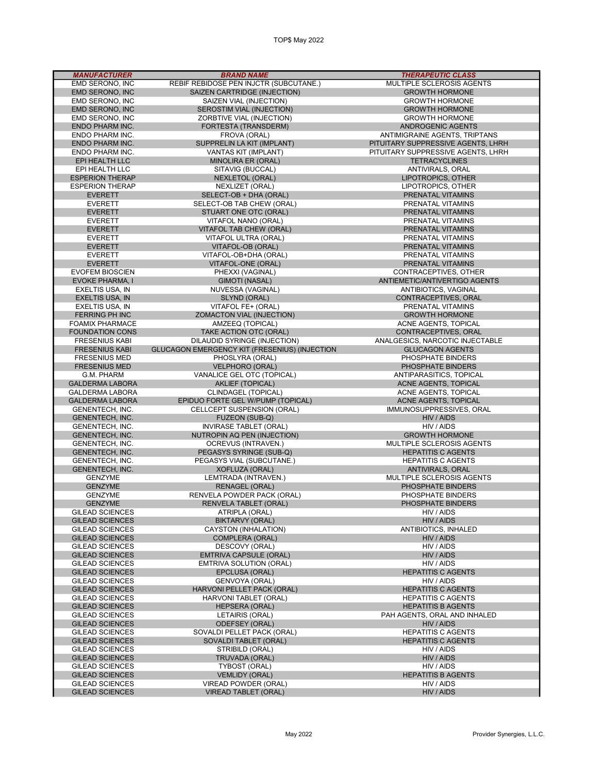| <b>MANUFACTURER</b>                              | <b>BRAND NAME</b>                                     | <b>THERAPEUTIC CLASS</b>                                            |
|--------------------------------------------------|-------------------------------------------------------|---------------------------------------------------------------------|
| EMD SERONO, INC                                  | REBIF REBIDOSE PEN INJCTR (SUBCUTANE.)                | MULTIPLE SCLEROSIS AGENTS                                           |
| EMD SERONO, INC                                  | <b>SAIZEN CARTRIDGE (INJECTION)</b>                   | <b>GROWTH HORMONE</b>                                               |
| <b>EMD SERONO. INC</b>                           | SAIZEN VIAL (INJECTION)                               | <b>GROWTH HORMONE</b>                                               |
| EMD SERONO, INC                                  | SEROSTIM VIAL (INJECTION)                             | <b>GROWTH HORMONE</b>                                               |
| EMD SERONO, INC                                  | ZORBTIVE VIAL (INJECTION)                             | <b>GROWTH HORMONE</b>                                               |
| <b>ENDO PHARM INC.</b>                           | FORTESTA (TRANSDERM)                                  | <b>ANDROGENIC AGENTS</b>                                            |
| ENDO PHARM INC.<br><b>ENDO PHARM INC.</b>        | FROVA (ORAL)<br>SUPPRELIN LA KIT (IMPLANT)            | ANTIMIGRAINE AGENTS, TRIPTANS<br>PITUITARY SUPPRESSIVE AGENTS, LHRH |
| ENDO PHARM INC.                                  | VANTAS KIT (IMPLANT)                                  | PITUITARY SUPPRESSIVE AGENTS, LHRH                                  |
| EPI HEALTH LLC                                   | <b>MINOLIRA ER (ORAL)</b>                             | <b>TETRACYCLINES</b>                                                |
| EPI HEALTH LLC                                   | SITAVIG (BUCCAL)                                      | ANTIVIRALS, ORAL                                                    |
| <b>ESPERION THERAP</b>                           | <b>NEXLETOL (ORAL)</b>                                | LIPOTROPICS, OTHER                                                  |
| <b>ESPERION THERAP</b>                           | NEXLIZET (ORAL)                                       | LIPOTROPICS, OTHER                                                  |
| <b>EVERETT</b>                                   | SELECT-OB + DHA (ORAL)                                | PRENATAL VITAMINS                                                   |
| <b>EVERETT</b>                                   | SELECT-OB TAB CHEW (ORAL)                             | PRENATAL VITAMINS                                                   |
| <b>EVERETT</b>                                   | STUART ONE OTC (ORAL)                                 | PRENATAL VITAMINS                                                   |
| <b>EVERETT</b>                                   | VITAFOL NANO (ORAL)                                   | PRENATAL VITAMINS                                                   |
| <b>EVERETT</b>                                   | VITAFOL TAB CHEW (ORAL)                               | PRENATAL VITAMINS                                                   |
| <b>EVERETT</b>                                   | VITAFOL ULTRA (ORAL)                                  | PRENATAL VITAMINS                                                   |
| <b>EVERETT</b><br><b>EVERETT</b>                 | VITAFOL-OB (ORAL)<br>VITAFOL-OB+DHA (ORAL)            | PRENATAL VITAMINS<br>PRENATAL VITAMINS                              |
| <b>EVERETT</b>                                   | VITAFOL-ONE (ORAL)                                    | PRENATAL VITAMINS                                                   |
| <b>EVOFEM BIOSCIEN</b>                           | PHEXXI (VAGINAL)                                      | CONTRACEPTIVES, OTHER                                               |
| <b>EVOKE PHARMA, I</b>                           | <b>GIMOTI (NASAL)</b>                                 | ANTIEMETIC/ANTIVERTIGO AGENTS                                       |
| EXELTIS USA, IN                                  | NUVESSA (VAGINAL)                                     | <b>ANTIBIOTICS, VAGINAL</b>                                         |
| <b>EXELTIS USA, IN</b>                           | SLYND (ORAL)                                          | CONTRACEPTIVES, ORAL                                                |
| EXELTIS USA, IN                                  | VITAFOL FE+ (ORAL)                                    | PRENATAL VITAMINS                                                   |
| <b>FERRING PH INC</b>                            | ZOMACTON VIAL (INJECTION)                             | <b>GROWTH HORMONE</b>                                               |
| <b>FOAMIX PHARMACE</b>                           | AMZEEQ (TOPICAL)                                      | ACNE AGENTS, TOPICAL                                                |
| <b>FOUNDATION CONS</b>                           | TAKE ACTION OTC (ORAL)                                | CONTRACEPTIVES, ORAL                                                |
| <b>FRESENIUS KABI</b>                            | DILAUDID SYRINGE (INJECTION)                          | ANALGESICS, NARCOTIC INJECTABLE                                     |
| <b>FRESENIUS KABI</b>                            | <b>GLUCAGON EMERGENCY KIT (FRESENIUS) (INJECTION)</b> | <b>GLUCAGON AGENTS</b>                                              |
| <b>FRESENIUS MED</b>                             | PHOSLYRA (ORAL)                                       | PHOSPHATE BINDERS                                                   |
| <b>FRESENIUS MED</b>                             | <b>VELPHORO (ORAL)</b>                                | PHOSPHATE BINDERS                                                   |
| G.M. PHARM<br><b>GALDERMA LABORA</b>             | VANALICE GEL OTC (TOPICAL)<br><b>AKLIEF (TOPICAL)</b> | ANTIPARASITICS, TOPICAL<br>ACNE AGENTS, TOPICAL                     |
| <b>GALDERMA LABORA</b>                           | CLINDAGEL (TOPICAL)                                   | ACNE AGENTS, TOPICAL                                                |
| <b>GALDERMA LABORA</b>                           | EPIDUO FORTE GEL W/PUMP (TOPICAL)                     | ACNE AGENTS, TOPICAL                                                |
| <b>GENENTECH, INC.</b>                           | CELLCEPT SUSPENSION (ORAL)                            | IMMUNOSUPPRESSIVES, ORAL                                            |
| <b>GENENTECH, INC.</b>                           | FUZEON (SUB-Q)                                        | HIV / AIDS                                                          |
| GENENTECH, INC.                                  | <b>INVIRASE TABLET (ORAL)</b>                         | HIV / AIDS                                                          |
| <b>GENENTECH, INC.</b>                           | NUTROPIN AQ PEN (INJECTION)                           | <b>GROWTH HORMONE</b>                                               |
| GENENTECH, INC.                                  | OCREVUS (INTRAVEN.)                                   | MULTIPLE SCLEROSIS AGENTS                                           |
| <b>GENENTECH, INC.</b>                           | PEGASYS SYRINGE (SUB-Q)                               | <b>HEPATITIS C AGENTS</b>                                           |
| GENENTECH, INC.                                  | PEGASYS VIAL (SUBCUTANE.)                             | <b>HEPATITIS C AGENTS</b>                                           |
| GENENTECH, INC.                                  | <b>XOFLUZA (ORAL)</b>                                 | ANTIVIRALS, ORAL                                                    |
| <b>GENZYME</b>                                   | LEMTRADA (INTRAVEN.)<br><b>RENAGEL (ORAL)</b>         | MULTIPLE SCLEROSIS AGENTS<br>PHOSPHATE BINDERS                      |
| <b>GENZYME</b><br><b>GENZYME</b>                 | RENVELA POWDER PACK (ORAL)                            | PHOSPHATE BINDERS                                                   |
| <b>GENZYME</b>                                   | RENVELA TABLET (ORAL)                                 | PHOSPHATE BINDERS                                                   |
| <b>GILEAD SCIENCES</b>                           | ATRIPLA (ORAL)                                        | HIV / AIDS                                                          |
| <b>GILEAD SCIENCES</b>                           | <b>BIKTARVY (ORAL)</b>                                | HIV / AIDS                                                          |
| <b>GILEAD SCIENCES</b>                           | CAYSTON (INHALATION)                                  | ANTIBIOTICS, INHALED                                                |
| <b>GILEAD SCIENCES</b>                           | <b>COMPLERA (ORAL)</b>                                | HIV / AIDS                                                          |
| <b>GILEAD SCIENCES</b>                           | DESCOVY (ORAL)                                        | HIV / AIDS                                                          |
| <b>GILEAD SCIENCES</b>                           | <b>EMTRIVA CAPSULE (ORAL)</b>                         | HIV / AIDS                                                          |
| <b>GILEAD SCIENCES</b>                           | <b>EMTRIVA SOLUTION (ORAL)</b>                        | HIV / AIDS                                                          |
| <b>GILEAD SCIENCES</b>                           | EPCLUSA (ORAL)                                        | <b>HEPATITIS C AGENTS</b>                                           |
| <b>GILEAD SCIENCES</b>                           | GENVOYA (ORAL)                                        | HIV / AIDS                                                          |
| <b>GILEAD SCIENCES</b>                           | HARVONI PELLET PACK (ORAL)                            | <b>HEPATITIS C AGENTS</b>                                           |
| <b>GILEAD SCIENCES</b><br><b>GILEAD SCIENCES</b> | HARVONI TABLET (ORAL)<br><b>HEPSERA (ORAL)</b>        | <b>HEPATITIS C AGENTS</b><br><b>HEPATITIS B AGENTS</b>              |
| <b>GILEAD SCIENCES</b>                           | LETAIRIS (ORAL)                                       | PAH AGENTS, ORAL AND INHALED                                        |
| <b>GILEAD SCIENCES</b>                           | <b>ODEFSEY (ORAL)</b>                                 | HIV / AIDS                                                          |
| <b>GILEAD SCIENCES</b>                           | SOVALDI PELLET PACK (ORAL)                            | <b>HEPATITIS C AGENTS</b>                                           |
| <b>GILEAD SCIENCES</b>                           | SOVALDI TABLET (ORAL)                                 | <b>HEPATITIS C AGENTS</b>                                           |
| <b>GILEAD SCIENCES</b>                           | STRIBILD (ORAL)                                       | HIV / AIDS                                                          |
| <b>GILEAD SCIENCES</b>                           | TRUVADA (ORAL)                                        | HIV / AIDS                                                          |
| <b>GILEAD SCIENCES</b>                           | TYBOST (ORAL)                                         | HIV / AIDS                                                          |
| <b>GILEAD SCIENCES</b>                           | <b>VEMLIDY (ORAL)</b>                                 | <b>HEPATITIS B AGENTS</b>                                           |
| <b>GILEAD SCIENCES</b>                           | VIREAD POWDER (ORAL)                                  | HIV / AIDS                                                          |
| <b>GILEAD SCIENCES</b>                           | <b>VIREAD TABLET (ORAL)</b>                           | HIV / AIDS                                                          |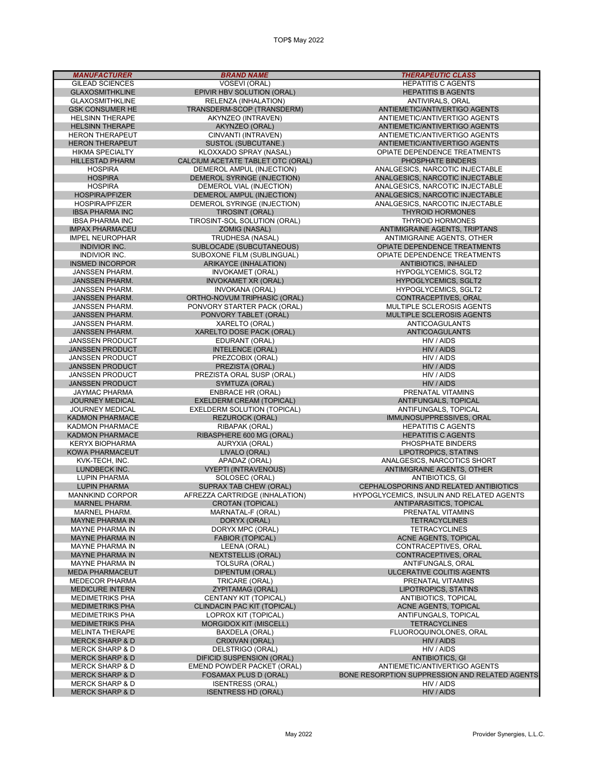MANUFACTURER BRAND NAME THERAPEUTIC CLASS

GILEAD SCIENCES VOSEVI (ORAL) HEPATITIS C AGENTS GLAXOSMITHKLINE EPIVIR HBV SOLUTION (ORAL) HEPATITIS B AGENTS GLAXOSMITHKLINE RELENZA (INHALATION)<br>GSK CONSUMER HE TRANSDERM-SCOP (TRANSDERM) CALCIUM ACETATE TABLET OTC (ORAL) IBSA PHARMA INC TIROSINT (ORAL) THYROID HORMONES IBSA PHARMA INC TIROSINT-SOL SOLUTION (ORAL)<br>IMPAX PHARMACEU ZOMIG (NASAL) INSMED INCORPOR ARIKAYCE (INHALATION)<br>INVOKAMET (ORAL) JANSSEN PHARM. INVOKAMET (ORAL) HYPOGLYCEMICS, SGLT2 JANSSEN PHARM. INVOKAMET XR (ORAL) HYPOGLYCEMICS, SGLT2 JANSSEN PHARM. INVOKANA (ORAL) HYPOGLYCEMICS, SGLT2 ORTHO-NOVUM TRIPHASIC (ORAL)<br>PONVORY STARTER PACK (ORAL) CONTRACEPTIVES, ORAL PONVORY STARTER PACK (ORAL) JANSSEN PHARM. PONVORY STARTER PACK (ORAL)<br>JANSSEN PHARM. PONVORY TABLET (ORAL) JANSSEN PHARM. XARELTO (ORAL) ANTICOAGULANTS VARELTO DOSE PACK (ORAL) ANTICOAGULANTICOAGULANTICOAGULANTICOAGULANTICOAGULANTICOAGULANTICOAGULANTICOAGULANTICOAGULA JANSSEN PRODUCT EDURANT (ORAL) HIV / AIDS INTELENCE (ORAL) JANSSEN PRODUCT PREZCOBIX (ORAL) HIV / AIDS JANSSEN PRODUCT PREZISTA (ORAL) HIV / AIDS PREZISTA ORAL SUSP (ORAL)<br>SYMTUZA (ORAL) JANSSEN PRODUCT SYMTUZA (ORAL) HIV / AIDS JAYMAC PHARMA ENBRACE HR (ORAL) PRENATAL VITAMINS JOURNEY MEDICAL EXELDERM CREAM (TOPICAL) ANTIFUNGALS, TOPICAL JOURNEY MEDICAL EXELDERM SOLUTION (TOPICAL)<br>
KADMON PHARMACE REZUROCK (ORAL) KADMON PHARMACE REZUROCK (ORAL) IMMUNOSUPPRESSIVES, ORAL KADMON PHARMACE RIBAPAK (ORAL) HEPATITIS C AGENTS SPHERE 600 MG (ORAL) KERYX BIOPHARMA AURYXIA (ORAL) PHOSPHATE BINDERS KOWA PHARMACEUT LIVALO (ORAL) LIPOTROPICS, STATINS LUPIN PHARMA SOLOSEC (ORAL)<br>LUPIN PHARMA LUPIN SUPRAX TAB CHEW (ORAL) MARNEL PHARM. CROTAN (TOPICAL) ANTIPARASITICS, TOPICAL MARNEL PHARM. MARNATAL-F (ORAL) PRENATAL VITAMINS MAYNE PHARMA IN DORYX (ORAL) TETRACYCLINES MAYNE PHARMA IN DORYX MPC (ORAL) TETRACYCLINES MAYNE PHARMA IN LEENA (ORAL) CONTRACEPTIVES, ORAL MAYNE PHARMA IN THE RESTRICT ON A NEXTSTELLIS (ORAL) CONTRACEPTIVES, ORAL MAYNE PHARMA IN TOLSURA (ORAL) MAYNE PHARMA IN TOLSURA (ORAL) ANTIFUNGALS, ORAL MEDA PHARMACEUT DIPENTUM (ORAL) ULCERATIVE COLITIS AGENTS MEDECOR PHARMA TRICARE (ORAL) PRENATAL VITAMINS MEDICURE INTERN ZYPITAMAG (ORAL) LIPOTROPICS, STATINS MEDIMETRIKS PHA CENTANY KIT (TOPICAL) ANTIBIOTICS, TOPICAL MEDIMETRIKS PHA CLINDACIN PAC KIT (TOPICAL)<br>MEDIMETRIKS PHA COPROX KIT (TOPICAL) MEDIMETRIKS PHA LOPROX KIT (TOPICAL) ANTIFUNGALS, TOPICAL MORGIDOX KIT (MISCELL) MELINTA THERAPE BAXDELA (ORAL) FLUOROQUINOLONES, ORAL MERCK SHARP & D CRIXIVAN (ORAL) HIV / AIDS MERCK SHARP & D DELSTRIGO (ORAL) HIV / AIDS MERCK SHARP & D DIFICID SUSPENSION (ORAL)<br>MERCK SHARP & D EMEND POWDER PACKET (ORAL) MERCK SHARP & D ISENTRESS (ORAL) HIV / AIDS

ANTIEMETIC/ANTIVERTIGO AGENTS HELSINN THERAPE AKYNZEO (INTRAVEN) ANTIEMETIC/ANTIVERTIGO AGENTS HELSINN THERAPE AKYNZEO (ORAL) ANTIEMETIC/ANTIVERTIGO AGENTS HERON THERAPEUT CINVANTI (INTRAVEN) ANTIEMETIC/ANTIVERTIGO AGENTS HERON THERAPEUT FRAMING SUSTOL (SUBCUTANE.) ANTIEMETIC/ANTIVERTIGO AGENTS<br>HIKMA SPECIALTY FRAMING SPRAY (NASAL) AND SERAY (NASAL) OPIATE DEPENDENCE TREATMENTS HIKMA SPECIALTY KLOXXADO SPRAY (NASAL) OPIATE DEPENDENCE TREATMENTS HOSPIRA DEMEROL AMPUL (INJECTION) ANALGESICS, NARCOTIC INJECTABLE HOSPIRA DEMEROL SYRINGE (INJECTION) ANALGESICS, NARCOTIC INJECTABLE HOSPIRA DEMEROL VIAL (INJECTION) ANALGESICS, NARCOTIC INJECTABLE HOSPIRA/PFIZER DEMEROL AMPUL (INJECTION) ANALGESICS, NARCOTIC INJECTABLE HOSPIRA/PFIZER DEMEROL SYRINGE (INJECTION) ANALGESICS, NARCOTIC INJECTABLE IMPAX PHARMACEU ZOMIG (NASAL) ANTIMIGRAINE AGENTS, TRIPTANS IMPEL NEUROPHAR TRUDHESA (NASAL) ANTIMIGRAINE AGENTS, OTHER TRUDHESA (NASAL) ANTIMIGRAINE AGENTS, OTHER ANTIMIGRAINE AGENTS, OTHER TREATMENT OPIATE DEPENDENCE TREATMENTS INDIVIOR INC. SUBOXONE FILM (SUBLINGUAL) OPIATE DEPENDENCE TREATMENTS JANSSEN PHARM. PONVORY TABLET (ORAL) MULTIPLE SCLEROSIS AGENTS KVK-TECH, INC. APADAZ (ORAL) ANALGESICS, NARCOTICS SHORT LUNDBECK INC. VYEPTI (INTRAVENOUS) ANTIMIGRAINE AGENTS, OTHER SUPRAX TAB CHEW (ORAL) CEPHALOSPORINS AND RELATED ANTIBIOTICS<br>AFREZZA CARTRIDGE (INHALATION) HYPOGLYCEMICS, INSULIN AND RELATED AGENT MANNKIND CORPOR AFREZZA CARTRIDGE (INHALATION) HYPOGLYCEMICS, INSULIN AND RELATED AGENTS<br>MARNEL PHARM. CROTAN (TOPICAL) ANTIPARASITICS, TOPICAL **ACNE AGENTS, TOPICAL** MERCK SHARP & D EMEND POWDER PACKET (ORAL) ANTIEMETIC/ANTIVERTIGO AGENTS BONE RESORPTION SUPPRESSION AND RELATED AGENTS

**ISENTRESS HD (ORAL)**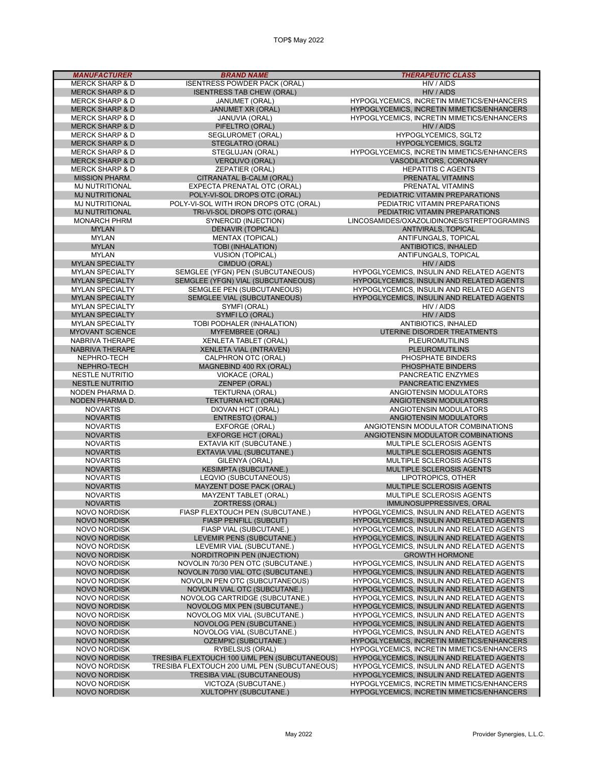| <b>MANUFACTURER</b>                            | <b>BRAND NAME</b>                                                            | <b>THERAPEUTIC CLASS</b>                                                               |
|------------------------------------------------|------------------------------------------------------------------------------|----------------------------------------------------------------------------------------|
| <b>MERCK SHARP &amp; D</b>                     | <b>ISENTRESS POWDER PACK (ORAL)</b>                                          | HIV / AIDS                                                                             |
| <b>MERCK SHARP &amp; D</b>                     | <b>ISENTRESS TAB CHEW (ORAL)</b>                                             | HIV / AIDS                                                                             |
| <b>MERCK SHARP &amp; D</b>                     | JANUMET (ORAL)                                                               | HYPOGLYCEMICS, INCRETIN MIMETICS/ENHANCERS                                             |
| <b>MERCK SHARP &amp; D</b>                     | <b>JANUMET XR (ORAL)</b>                                                     | HYPOGLYCEMICS, INCRETIN MIMETICS/ENHANCERS                                             |
| <b>MERCK SHARP &amp; D</b>                     | JANUVIA (ORAL)                                                               | HYPOGLYCEMICS, INCRETIN MIMETICS/ENHANCERS                                             |
| <b>MERCK SHARP &amp; D</b>                     | PIFELTRO (ORAL)                                                              | HIV / AIDS                                                                             |
| <b>MERCK SHARP &amp; D</b>                     | SEGLUROMET (ORAL)                                                            | <b>HYPOGLYCEMICS, SGLT2</b>                                                            |
| <b>MERCK SHARP &amp; D</b>                     | STEGLATRO (ORAL)                                                             | <b>HYPOGLYCEMICS, SGLT2</b>                                                            |
| <b>MERCK SHARP &amp; D</b>                     | STEGLUJAN (ORAL)                                                             | HYPOGLYCEMICS, INCRETIN MIMETICS/ENHANCERS                                             |
| <b>MERCK SHARP &amp; D</b>                     | VERQUVO (ORAL)                                                               | VASODILATORS, CORONARY                                                                 |
| <b>MERCK SHARP &amp; D</b>                     | <b>ZEPATIER (ORAL)</b>                                                       | <b>HEPATITIS C AGENTS</b>                                                              |
| <b>MISSION PHARM.</b>                          | CITRANATAL B-CALM (ORAL)                                                     | PRENATAL VITAMINS                                                                      |
| <b>MJ NUTRITIONAL</b>                          | EXPECTA PRENATAL OTC (ORAL)                                                  | PRENATAL VITAMINS                                                                      |
| <b>MJ NUTRITIONAL</b>                          | POLY-VI-SOL DROPS OTC (ORAL)                                                 | PEDIATRIC VITAMIN PREPARATIONS                                                         |
| <b>MJ NUTRITIONAL</b><br><b>MJ NUTRITIONAL</b> | POLY-VI-SOL WITH IRON DROPS OTC (ORAL)                                       | PEDIATRIC VITAMIN PREPARATIONS<br>PEDIATRIC VITAMIN PREPARATIONS                       |
|                                                | TRI-VI-SOL DROPS OTC (ORAL)                                                  |                                                                                        |
| <b>MONARCH PHRM</b><br><b>MYLAN</b>            | SYNERCID (INJECTION)<br><b>DENAVIR (TOPICAL)</b>                             | LINCOSAMIDES/OXAZOLIDINONES/STREPTOGRAMINS<br>ANTIVIRALS, TOPICAL                      |
| <b>MYLAN</b>                                   | <b>MENTAX (TOPICAL)</b>                                                      | ANTIFUNGALS, TOPICAL                                                                   |
| <b>MYLAN</b>                                   | <b>TOBI (INHALATION)</b>                                                     | ANTIBIOTICS, INHALED                                                                   |
| <b>MYLAN</b>                                   | <b>VUSION (TOPICAL)</b>                                                      | ANTIFUNGALS, TOPICAL                                                                   |
| <b>MYLAN SPECIALTY</b>                         | CIMDUO (ORAL)                                                                | HIV / AIDS                                                                             |
| <b>MYLAN SPECIALTY</b>                         | SEMGLEE (YFGN) PEN (SUBCUTANEOUS)                                            | HYPOGLYCEMICS, INSULIN AND RELATED AGENTS                                              |
| <b>MYLAN SPECIALTY</b>                         | SEMGLEE (YFGN) VIAL (SUBCUTANEOUS)                                           | HYPOGLYCEMICS, INSULIN AND RELATED AGENTS                                              |
| <b>MYLAN SPECIALTY</b>                         | SEMGLEE PEN (SUBCUTANEOUS)                                                   | HYPOGLYCEMICS, INSULIN AND RELATED AGENTS                                              |
| <b>MYLAN SPECIALTY</b>                         | SEMGLEE VIAL (SUBCUTANEOUS)                                                  | HYPOGLYCEMICS, INSULIN AND RELATED AGENTS                                              |
| <b>MYLAN SPECIALTY</b>                         | SYMFI (ORAL)                                                                 | HIV / AIDS                                                                             |
| <b>MYLAN SPECIALTY</b>                         | SYMFILO (ORAL)                                                               | HIV / AIDS                                                                             |
| <b>MYLAN SPECIALTY</b>                         | TOBI PODHALER (INHALATION)                                                   | ANTIBIOTICS, INHALED                                                                   |
| <b>MYOVANT SCIENCE</b>                         | <b>MYFEMBREE (ORAL)</b>                                                      | UTERINE DISORDER TREATMENTS                                                            |
| <b>NABRIVA THERAPE</b>                         | <b>XENLETA TABLET (ORAL)</b>                                                 | <b>PLEUROMUTILINS</b>                                                                  |
| NABRIVA THERAPE                                | XENLETA VIAL (INTRAVEN)                                                      | <b>PLEUROMUTILINS</b>                                                                  |
| NEPHRO-TECH                                    | CALPHRON OTC (ORAL)                                                          | PHOSPHATE BINDERS                                                                      |
| NEPHRO-TECH                                    | MAGNEBIND 400 RX (ORAL)                                                      | PHOSPHATE BINDERS                                                                      |
| <b>NESTLE NUTRITIO</b>                         | VIOKACE (ORAL)                                                               | PANCREATIC ENZYMES                                                                     |
| <b>NESTLE NUTRITIO</b>                         | ZENPEP (ORAL)                                                                | PANCREATIC ENZYMES                                                                     |
| NODEN PHARMA D.                                | TEKTURNA (ORAL)                                                              | ANGIOTENSIN MODULATORS                                                                 |
| NODEN PHARMA D.                                | <b>TEKTURNA HCT (ORAL)</b>                                                   | ANGIOTENSIN MODULATORS                                                                 |
| <b>NOVARTIS</b>                                | DIOVAN HCT (ORAL)                                                            | ANGIOTENSIN MODULATORS                                                                 |
| <b>NOVARTIS</b>                                | <b>ENTRESTO (ORAL)</b>                                                       | ANGIOTENSIN MODULATORS                                                                 |
| <b>NOVARTIS</b>                                | EXFORGE (ORAL)                                                               | ANGIOTENSIN MODULATOR COMBINATIONS                                                     |
| <b>NOVARTIS</b>                                | <b>EXFORGE HCT (ORAL)</b>                                                    | ANGIOTENSIN MODULATOR COMBINATIONS                                                     |
| <b>NOVARTIS</b>                                | EXTAVIA KIT (SUBCUTANE.)                                                     | MULTIPLE SCLEROSIS AGENTS                                                              |
| <b>NOVARTIS</b>                                | EXTAVIA VIAL (SUBCUTANE.)                                                    | MULTIPLE SCLEROSIS AGENTS                                                              |
| <b>NOVARTIS</b>                                | GILENYA (ORAL)                                                               | MULTIPLE SCLEROSIS AGENTS                                                              |
| <b>NOVARTIS</b>                                | <b>KESIMPTA (SUBCUTANE.)</b>                                                 | MULTIPLE SCLEROSIS AGENTS                                                              |
| <b>NOVARTIS</b>                                | LEQVIO (SUBCUTANEOUS)                                                        | LIPOTROPICS, OTHER                                                                     |
| <b>NOVARTIS</b>                                | MAYZENT DOSE PACK (ORAL)                                                     | <b>MULTIPLE SCLEROSIS AGENTS</b>                                                       |
| <b>NOVARTIS</b>                                | MAYZENT TABLET (ORAL)                                                        | MULTIPLE SCLEROSIS AGENTS                                                              |
| <b>NOVARTIS</b>                                | ZORTRESS (ORAL)                                                              | IMMUNOSUPPRESSIVES, ORAL                                                               |
| <b>NOVO NORDISK</b>                            | FIASP FLEXTOUCH PEN (SUBCUTANE.)                                             | HYPOGLYCEMICS, INSULIN AND RELATED AGENTS                                              |
| <b>NOVO NORDISK</b>                            | <b>FIASP PENFILL (SUBCUT)</b>                                                | HYPOGLYCEMICS, INSULIN AND RELATED AGENTS                                              |
| <b>NOVO NORDISK</b>                            | FIASP VIAL (SUBCUTANE.)                                                      | HYPOGLYCEMICS, INSULIN AND RELATED AGENTS                                              |
| <b>NOVO NORDISK</b>                            | LEVEMIR PENS (SUBCUTANE.)                                                    | HYPOGLYCEMICS, INSULIN AND RELATED AGENTS                                              |
| <b>NOVO NORDISK</b>                            | LEVEMIR VIAL (SUBCUTANE.)                                                    | HYPOGLYCEMICS, INSULIN AND RELATED AGENTS                                              |
| <b>NOVO NORDISK</b>                            | NORDITROPIN PEN (INJECTION)                                                  | <b>GROWTH HORMONE</b>                                                                  |
| <b>NOVO NORDISK</b>                            | NOVOLIN 70/30 PEN OTC (SUBCUTANE.)                                           | HYPOGLYCEMICS, INSULIN AND RELATED AGENTS                                              |
| <b>NOVO NORDISK</b>                            | NOVOLIN 70/30 VIAL OTC (SUBCUTANE.)<br><b>NOVOLIN PEN OTC (SUBCUTANEOUS)</b> | HYPOGLYCEMICS, INSULIN AND RELATED AGENTS                                              |
| <b>NOVO NORDISK</b>                            |                                                                              | HYPOGLYCEMICS, INSULIN AND RELATED AGENTS                                              |
| <b>NOVO NORDISK</b><br><b>NOVO NORDISK</b>     | NOVOLIN VIAL OTC (SUBCUTANE.)                                                | HYPOGLYCEMICS, INSULIN AND RELATED AGENTS<br>HYPOGLYCEMICS, INSULIN AND RELATED AGENTS |
| <b>NOVO NORDISK</b>                            | NOVOLOG CARTRIDGE (SUBCUTANE.)<br>NOVOLOG MIX PEN (SUBCUTANE.)               | HYPOGLYCEMICS, INSULIN AND RELATED AGENTS                                              |
| NOVO NORDISK                                   | NOVOLOG MIX VIAL (SUBCUTANE.)                                                | HYPOGLYCEMICS, INSULIN AND RELATED AGENTS                                              |
| <b>NOVO NORDISK</b>                            | <b>NOVOLOG PEN (SUBCUTANE.)</b>                                              | HYPOGLYCEMICS, INSULIN AND RELATED AGENTS                                              |
| <b>NOVO NORDISK</b>                            | NOVOLOG VIAL (SUBCUTANE.)                                                    | HYPOGLYCEMICS, INSULIN AND RELATED AGENTS                                              |
| <b>NOVO NORDISK</b>                            | <b>OZEMPIC (SUBCUTANE.)</b>                                                  | HYPOGLYCEMICS, INCRETIN MIMETICS/ENHANCERS                                             |
| <b>NOVO NORDISK</b>                            | RYBELSUS (ORAL)                                                              | HYPOGLYCEMICS, INCRETIN MIMETICS/ENHANCERS                                             |
| <b>NOVO NORDISK</b>                            | TRESIBA FLEXTOUCH 100 U/ML PEN (SUBCUTANEOUS)                                | HYPOGLYCEMICS, INSULIN AND RELATED AGENTS                                              |
| NOVO NORDISK                                   | TRESIBA FLEXTOUCH 200 U/ML PEN (SUBCUTANEOUS)                                | HYPOGLYCEMICS, INSULIN AND RELATED AGENTS                                              |
| <b>NOVO NORDISK</b>                            | <b>TRESIBA VIAL (SUBCUTANEOUS)</b>                                           | HYPOGLYCEMICS, INSULIN AND RELATED AGENTS                                              |
| <b>NOVO NORDISK</b>                            | VICTOZA (SUBCUTANE.)                                                         | <b>HYPOGLYCEMICS, INCRETIN MIMETICS/ENHANCERS</b>                                      |
| <b>NOVO NORDISK</b>                            | XULTOPHY (SUBCUTANE.)                                                        | HYPOGLYCEMICS, INCRETIN MIMETICS/ENHANCERS                                             |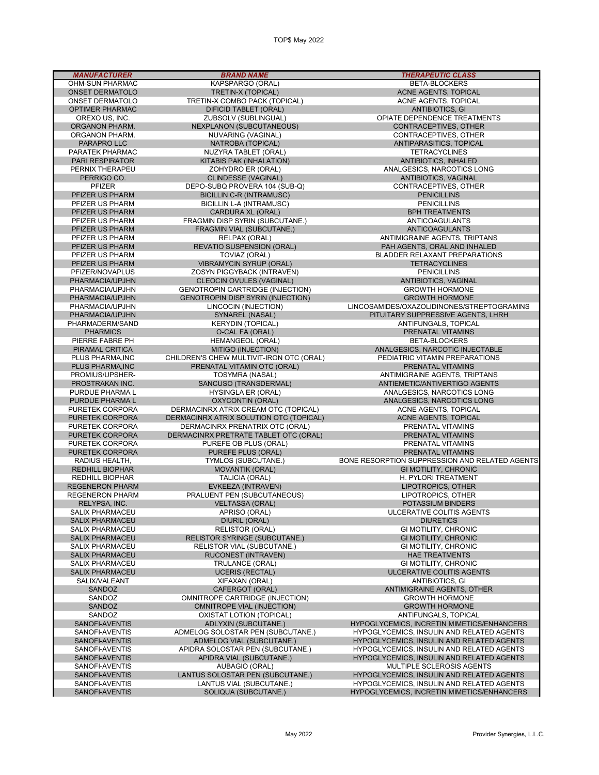| <b>MANUFACTURER</b>    | <b>BRAND NAME</b>                        | <b>THERAPEUTIC CLASS</b>                          |
|------------------------|------------------------------------------|---------------------------------------------------|
| OHM-SUN PHARMAC        | KAPSPARGO (ORAL)                         | <b>BETA-BLOCKERS</b>                              |
| <b>ONSET DERMATOLO</b> | <b>TRETIN-X (TOPICAL)</b>                | ACNE AGENTS, TOPICAL                              |
| <b>ONSET DERMATOLO</b> | TRETIN-X COMBO PACK (TOPICAL)            | <b>ACNE AGENTS, TOPICAL</b>                       |
| <b>OPTIMER PHARMAC</b> | <b>DIFICID TABLET (ORAL)</b>             | <b>ANTIBIOTICS, GI</b>                            |
|                        | ZUBSOLV (SUBLINGUAL)                     | OPIATE DEPENDENCE TREATMENTS                      |
| OREXO US, INC.         |                                          |                                                   |
| ORGANON PHARM.         | <b>NEXPLANON (SUBCUTANEOUS)</b>          | CONTRACEPTIVES, OTHER                             |
| ORGANON PHARM.         | NUVARING (VAGINAL)                       | CONTRACEPTIVES, OTHER                             |
| PARAPRO LLC            | NATROBA (TOPICAL)                        | ANTIPARASITICS, TOPICAL                           |
| PARATEK PHARMAC        | NUZYRA TABLET (ORAL)                     | <b>TETRACYCLINES</b>                              |
| <b>PARI RESPIRATOR</b> | KITABIS PAK (INHALATION)                 | <b>ANTIBIOTICS, INHALED</b>                       |
| PERNIX THERAPEU        | ZOHYDRO ER (ORAL)                        | ANALGESICS, NARCOTICS LONG                        |
| PERRIGO CO.            | <b>CLINDESSE (VAGINAL)</b>               | ANTIBIOTICS, VAGINAL                              |
| PFIZER                 | DEPO-SUBQ PROVERA 104 (SUB-Q)            | CONTRACEPTIVES, OTHER                             |
|                        |                                          |                                                   |
| PFIZER US PHARM        | <b>BICILLIN C-R (INTRAMUSC)</b>          | <b>PENICILLINS</b>                                |
| PFIZER US PHARM        | <b>BICILLIN L-A (INTRAMUSC)</b>          | <b>PENICILLINS</b>                                |
| PFIZER US PHARM        | CARDURA XL (ORAL)                        | <b>BPH TREATMENTS</b>                             |
| PFIZER US PHARM        | FRAGMIN DISP SYRIN (SUBCUTANE.)          | ANTICOAGULANTS                                    |
| PFIZER US PHARM        | FRAGMIN VIAL (SUBCUTANE.)                | <b>ANTICOAGULANTS</b>                             |
| PFIZER US PHARM        | RELPAX (ORAL)                            | ANTIMIGRAINE AGENTS, TRIPTANS                     |
| PFIZER US PHARM        | <b>REVATIO SUSPENSION (ORAL)</b>         | PAH AGENTS, ORAL AND INHALED                      |
| PFIZER US PHARM        | TOVIAZ (ORAL)                            | BLADDER RELAXANT PREPARATIONS                     |
| PFIZER US PHARM        | <b>VIBRAMYCIN SYRUP (ORAL)</b>           | <b>TETRACYCLINES</b>                              |
|                        |                                          |                                                   |
| PFIZER/NOVAPLUS        | ZOSYN PIGGYBACK (INTRAVEN)               | <b>PENICILLINS</b>                                |
| PHARMACIA/UPJHN        | CLEOCIN OVULES (VAGINAL)                 | ANTIBIOTICS, VAGINAL                              |
| PHARMACIA/UPJHN        | <b>GENOTROPIN CARTRIDGE (INJECTION)</b>  | <b>GROWTH HORMONE</b>                             |
| PHARMACIA/UPJHN        | <b>GENOTROPIN DISP SYRIN (INJECTION)</b> | <b>GROWTH HORMONE</b>                             |
| PHARMACIA/UPJHN        | LINCOCIN (INJECTION)                     | LINCOSAMIDES/OXAZOLIDINONES/STREPTOGRAMINS        |
| PHARMACIA/UPJHN        | SYNAREL (NASAL)                          | PITUITARY SUPPRESSIVE AGENTS, LHRH                |
| PHARMADERM/SAND        | <b>KERYDIN (TOPICAL)</b>                 | ANTIFUNGALS, TOPICAL                              |
| <b>PHARMICS</b>        | O-CAL FA (ORAL)                          | PRENATAL VITAMINS                                 |
|                        |                                          |                                                   |
| PIERRE FABRE PH        | <b>HEMANGEOL (ORAL)</b>                  | <b>BETA-BLOCKERS</b>                              |
| PIRAMAL CRITICA        | MITIGO (INJECTION)                       | ANALGESICS, NARCOTIC INJECTABLE                   |
| PLUS PHARMA, INC       | CHILDREN'S CHEW MULTIVIT-IRON OTC (ORAL) | PEDIATRIC VITAMIN PREPARATIONS                    |
| PLUS PHARMA, INC       | PRENATAL VITAMIN OTC (ORAL)              | PRENATAL VITAMINS                                 |
| PROMIUS/UPSHER-        | TOSYMRA (NASAL)                          | ANTIMIGRAINE AGENTS, TRIPTANS                     |
| PROSTRAKAN INC.        | SANCUSO (TRANSDERMAL)                    | ANTIEMETIC/ANTIVERTIGO AGENTS                     |
| PURDUE PHARMA L        | <b>HYSINGLA ER (ORAL)</b>                | ANALGESICS, NARCOTICS LONG                        |
| PURDUE PHARMA L        | <b>OXYCONTIN (ORAL)</b>                  | ANALGESICS, NARCOTICS LONG                        |
| PURETEK CORPORA        | DERMACINRX ATRIX CREAM OTC (TOPICAL)     | ACNE AGENTS, TOPICAL                              |
| <b>PURETEK CORPORA</b> | DERMACINRX ATRIX SOLUTION OTC (TOPICAL)  | ACNE AGENTS, TOPICAL                              |
|                        |                                          |                                                   |
| PURETEK CORPORA        | DERMACINRX PRENATRIX OTC (ORAL)          | PRENATAL VITAMINS                                 |
| <b>PURETEK CORPORA</b> | DERMACINRX PRETRATE TABLET OTC (ORAL)    | PRENATAL VITAMINS                                 |
| PURETEK CORPORA        | PUREFE OB PLUS (ORAL)                    | PRENATAL VITAMINS                                 |
| <b>PURETEK CORPORA</b> | PUREFE PLUS (ORAL)                       | PRENATAL VITAMINS                                 |
| RADIUS HEALTH,         | TYMLOS (SUBCUTANE.)                      | BONE RESORPTION SUPPRESSION AND RELATED AGENTS    |
| <b>REDHILL BIOPHAR</b> | <b>MOVANTIK (ORAL)</b>                   | <b>GI MOTILITY, CHRONIC</b>                       |
| <b>REDHILL BIOPHAR</b> | <b>TALICIA (ORAL)</b>                    | H. PYLORI TREATMENT                               |
| REGENERON PHARM        | EVKEEZA (INTRAVEN)                       | LIPOTROPICS, OTHER                                |
| REGENERON PHARM        | PRALUENT PEN (SUBCUTANEOUS)              | LIPOTROPICS, OTHER                                |
|                        |                                          |                                                   |
| RELYPSA, INC.          | <b>VELTASSA (ORAL)</b>                   | POTASSIUM BINDERS                                 |
| <b>SALIX PHARMACEU</b> | APRISO (ORAL)                            | ULCERATIVE COLITIS AGENTS                         |
| <b>SALIX PHARMACEU</b> | <b>DIURIL (ORAL)</b>                     | <b>DIURETICS</b>                                  |
| SALIX PHARMACEU        | <b>RELISTOR (ORAL)</b>                   | <b>GI MOTILITY, CHRONIC</b>                       |
| <b>SALIX PHARMACEU</b> | <b>RELISTOR SYRINGE (SUBCUTANE.)</b>     | <b>GI MOTILITY, CHRONIC</b>                       |
| <b>SALIX PHARMACEU</b> | RELISTOR VIAL (SUBCUTANE.)               | <b>GI MOTILITY, CHRONIC</b>                       |
| <b>SALIX PHARMACEU</b> | RUCONEST (INTRAVEN)                      | <b>HAE TREATMENTS</b>                             |
| <b>SALIX PHARMACEU</b> | TRULANCE (ORAL)                          | <b>GI MOTILITY, CHRONIC</b>                       |
| <b>SALIX PHARMACEU</b> | <b>UCERIS (RECTAL)</b>                   | ULCERATIVE COLITIS AGENTS                         |
| SALIX/VALEANT          | XIFAXAN (ORAL)                           |                                                   |
|                        |                                          | <b>ANTIBIOTICS, GI</b>                            |
| SANDOZ                 | CAFERGOT (ORAL)                          | <b>ANTIMIGRAINE AGENTS, OTHER</b>                 |
| SANDOZ                 | <b>OMNITROPE CARTRIDGE (INJECTION)</b>   | <b>GROWTH HORMONE</b>                             |
| SANDOZ                 | <b>OMNITROPE VIAL (INJECTION)</b>        | <b>GROWTH HORMONE</b>                             |
| SANDOZ                 | OXISTAT LOTION (TOPICAL)                 | ANTIFUNGALS, TOPICAL                              |
| SANOFI-AVENTIS         | <b>ADLYXIN (SUBCUTANE.)</b>              | <b>HYPOGLYCEMICS, INCRETIN MIMETICS/ENHANCERS</b> |
| SANOFI-AVENTIS         | ADMELOG SOLOSTAR PEN (SUBCUTANE.)        | HYPOGLYCEMICS, INSULIN AND RELATED AGENTS         |
| SANOFI-AVENTIS         | ADMELOG VIAL (SUBCUTANE.)                | HYPOGLYCEMICS, INSULIN AND RELATED AGENTS         |
| SANOFI-AVENTIS         | APIDRA SOLOSTAR PEN (SUBCUTANE.)         | HYPOGLYCEMICS, INSULIN AND RELATED AGENTS         |
| SANOFI-AVENTIS         | APIDRA VIAL (SUBCUTANE.)                 | HYPOGLYCEMICS, INSULIN AND RELATED AGENTS         |
|                        |                                          |                                                   |
| SANOFI-AVENTIS         | AUBAGIO (ORAL)                           | MULTIPLE SCLEROSIS AGENTS                         |
| SANOFI-AVENTIS         | LANTUS SOLOSTAR PEN (SUBCUTANE.)         | HYPOGLYCEMICS, INSULIN AND RELATED AGENTS         |
| SANOFI-AVENTIS         | LANTUS VIAL (SUBCUTANE.)                 | HYPOGLYCEMICS, INSULIN AND RELATED AGENTS         |
| SANOFI-AVENTIS         | SOLIQUA (SUBCUTANE.)                     | <b>HYPOGLYCEMICS, INCRETIN MIMETICS/ENHANCERS</b> |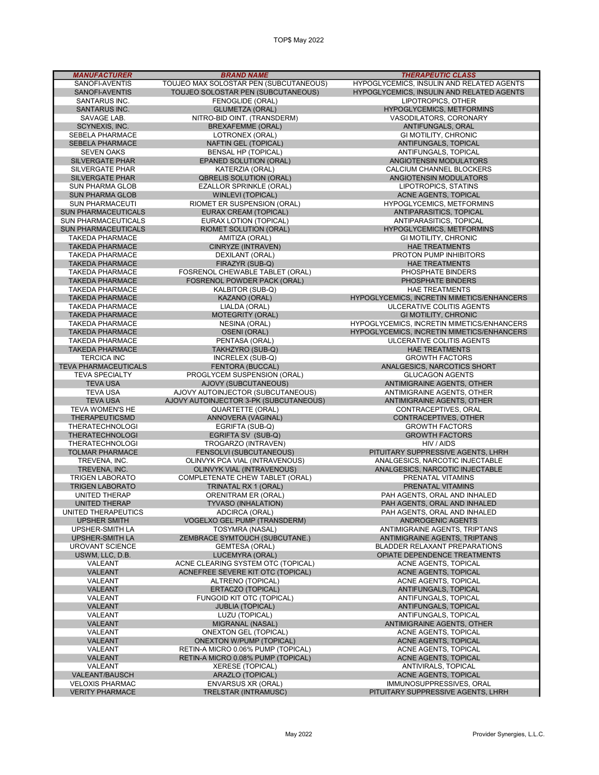| <b>MANUFACTURER</b>         | <b>BRAND NAME</b>                      | <b>THERAPEUTIC CLASS</b>                   |
|-----------------------------|----------------------------------------|--------------------------------------------|
|                             |                                        |                                            |
| SANOFI-AVENTIS              | TOUJEO MAX SOLOSTAR PEN (SUBCUTANEOUS) | HYPOGLYCEMICS, INSULIN AND RELATED AGENTS  |
| SANOFI-AVENTIS              | TOUJEO SOLOSTAR PEN (SUBCUTANEOUS)     | HYPOGLYCEMICS, INSULIN AND RELATED AGENTS  |
| SANTARUS INC.               | FENOGLIDE (ORAL)                       | LIPOTROPICS, OTHER                         |
| <b>SANTARUS INC.</b>        | <b>GLUMETZA (ORAL)</b>                 | <b>HYPOGLYCEMICS, METFORMINS</b>           |
| SAVAGE LAB.                 | NITRO-BID OINT. (TRANSDERM)            | VASODILATORS, CORONARY                     |
| SCYNEXIS, INC.              | <b>BREXAFEMME (ORAL)</b>               | ANTIFUNGALS, ORAL                          |
| <b>SEBELA PHARMACE</b>      | LOTRONEX (ORAL)                        | GI MOTILITY, CHRONIC                       |
| <b>SEBELA PHARMACE</b>      | <b>NAFTIN GEL (TOPICAL)</b>            | ANTIFUNGALS, TOPICAL                       |
| <b>SEVEN OAKS</b>           | <b>BENSAL HP (TOPICAL)</b>             | ANTIFUNGALS, TOPICAL                       |
| <b>SILVERGATE PHAR</b>      | EPANED SOLUTION (ORAL)                 | ANGIOTENSIN MODULATORS                     |
| <b>SILVERGATE PHAR</b>      | KATERZIA (ORAL)                        | CALCIUM CHANNEL BLOCKERS                   |
|                             |                                        | ANGIOTENSIN MODULATORS                     |
| <b>SILVERGATE PHAR</b>      | <b>QBRELIS SOLUTION (ORAL)</b>         |                                            |
| <b>SUN PHARMA GLOB</b>      | EZALLOR SPRINKLE (ORAL)                | LIPOTROPICS, STATINS                       |
| <b>SUN PHARMA GLOB</b>      | <b>WINLEVI (TOPICAL)</b>               | ACNE AGENTS, TOPICAL                       |
| <b>SUN PHARMACEUTI</b>      | RIOMET ER SUSPENSION (ORAL)            | HYPOGLYCEMICS, METFORMINS                  |
| <b>SUN PHARMACEUTICALS</b>  | EURAX CREAM (TOPICAL)                  | ANTIPARASITICS, TOPICAL                    |
| SUN PHARMACEUTICALS         | EURAX LOTION (TOPICAL)                 | ANTIPARASITICS, TOPICAL                    |
| <b>SUN PHARMACEUTICALS</b>  | RIOMET SOLUTION (ORAL)                 | HYPOGLYCEMICS, METFORMINS                  |
| <b>TAKEDA PHARMACE</b>      | AMITIZA (ORAL)                         | GI MOTILITY, CHRONIC                       |
| <b>TAKEDA PHARMACE</b>      | CINRYZE (INTRAVEN)                     | <b>HAE TREATMENTS</b>                      |
| <b>TAKEDA PHARMACE</b>      | DEXILANT (ORAL)                        | PROTON PUMP INHIBITORS                     |
| <b>TAKEDA PHARMACE</b>      | FIRAZYR (SUB-Q)                        | <b>HAE TREATMENTS</b>                      |
| <b>TAKEDA PHARMACE</b>      | FOSRENOL CHEWABLE TABLET (ORAL)        | PHOSPHATE BINDERS                          |
| <b>TAKEDA PHARMACE</b>      | FOSRENOL POWDER PACK (ORAL)            | PHOSPHATE BINDERS                          |
|                             | KALBITOR (SUB-Q)                       |                                            |
| <b>TAKEDA PHARMACE</b>      |                                        | <b>HAE TREATMENTS</b>                      |
| <b>TAKEDA PHARMACE</b>      | KAZANO (ORAL)                          | HYPOGLYCEMICS, INCRETIN MIMETICS/ENHANCERS |
| <b>TAKEDA PHARMACE</b>      | LIALDA (ORAL)                          | ULCERATIVE COLITIS AGENTS                  |
| <b>TAKEDA PHARMACE</b>      | <b>MOTEGRITY (ORAL)</b>                | <b>GI MOTILITY, CHRONIC</b>                |
| <b>TAKEDA PHARMACE</b>      | <b>NESINA (ORAL)</b>                   | HYPOGLYCEMICS, INCRETIN MIMETICS/ENHANCERS |
| <b>TAKEDA PHARMACE</b>      | <b>OSENI (ORAL)</b>                    | HYPOGLYCEMICS, INCRETIN MIMETICS/ENHANCERS |
| <b>TAKEDA PHARMACE</b>      | PENTASA (ORAL)                         | ULCERATIVE COLITIS AGENTS                  |
| <b>TAKEDA PHARMACE</b>      | TAKHZYRO (SUB-Q)                       | <b>HAE TREATMENTS</b>                      |
| <b>TERCICA INC</b>          | INCRELEX (SUB-Q)                       | <b>GROWTH FACTORS</b>                      |
| <b>TEVA PHARMACEUTICALS</b> | <b>FENTORA (BUCCAL)</b>                | ANALGESICS, NARCOTICS SHORT                |
| <b>TEVA SPECIALTY</b>       | PROGLYCEM SUSPENSION (ORAL)            | <b>GLUCAGON AGENTS</b>                     |
| <b>TEVA USA</b>             | AJOVY (SUBCUTANEOUS)                   | ANTIMIGRAINE AGENTS, OTHER                 |
| <b>TEVA USA</b>             | AJOVY AUTOINJECTOR (SUBCUTANEOUS)      | ANTIMIGRAINE AGENTS, OTHER                 |
| <b>TEVA USA</b>             | AJOVY AUTOINJECTOR 3-PK (SUBCUTANEOUS) | ANTIMIGRAINE AGENTS, OTHER                 |
| <b>TEVA WOMEN'S HE</b>      | QUARTETTE (ORAL)                       | CONTRACEPTIVES, ORAL                       |
| <b>THERAPEUTICSMD</b>       | ANNOVERA (VAGINAL)                     | CONTRACEPTIVES, OTHER                      |
| <b>THERATECHNOLOGI</b>      | EGRIFTA (SUB-Q)                        | <b>GROWTH FACTORS</b>                      |
| <b>THERATECHNOLOGI</b>      | EGRIFTA SV (SUB-Q)                     | <b>GROWTH FACTORS</b>                      |
| <b>THERATECHNOLOGI</b>      | TROGARZO (INTRAVEN)                    | HIV / AIDS                                 |
| <b>TOLMAR PHARMACE</b>      | FENSOLVI (SUBCUTANEOUS)                | PITUITARY SUPPRESSIVE AGENTS, LHRH         |
| TREVENA, INC.               | OLINVYK PCA VIAL (INTRAVENOUS)         | ANALGESICS. NARCOTIC INJECTABLE            |
| TREVENA, INC.               | <b>OLINVYK VIAL (INTRAVENOUS)</b>      | ANALGESICS, NARCOTIC INJECTABLE            |
| <b>TRIGEN LABORATO</b>      | COMPLETENATE CHEW TABLET (ORAL)        | PRENATAL VITAMINS                          |
| <b>TRIGEN LABORATO</b>      |                                        | PRENATAL VITAMINS                          |
|                             | TRINATAL RX 1 (ORAL)                   | PAH AGENTS, ORAL AND INHALED               |
| UNITED THERAP               | <b>ORENITRAM ER (ORAL)</b>             |                                            |
| <b>UNITED THERAP</b>        | TYVASO (INHALATION)                    | PAH AGENTS, ORAL AND INHALED               |
| UNITED THERAPEUTICS         | ADCIRCA (ORAL)                         | PAH AGENTS, ORAL AND INHALED               |
| UPSHER SMITH                | <b>VOGELXO GEL PUMP (TRANSDERM)</b>    | <b>ANDROGENIC AGENTS</b>                   |
| UPSHER-SMITH LA             | TOSYMRA (NASAL)                        | ANTIMIGRAINE AGENTS, TRIPTANS              |
| <b>UPSHER-SMITH LA</b>      | ZEMBRACE SYMTOUCH (SUBCUTANE.)         | ANTIMIGRAINE AGENTS, TRIPTANS              |
| UROVANT SCIENCE             | <b>GEMTESA (ORAL)</b>                  | BLADDER RELAXANT PREPARATIONS              |
| USWM. LLC. D.B.             | <b>LUCEMYRA (ORAL)</b>                 | OPIATE DEPENDENCE TREATMENTS               |
| VALEANT                     | ACNE CLEARING SYSTEM OTC (TOPICAL)     | ACNE AGENTS, TOPICAL                       |
| VALEANT                     | ACNEFREE SEVERE KIT OTC (TOPICAL)      | ACNE AGENTS, TOPICAL                       |
| VALEANT                     | ALTRENO (TOPICAL)                      | ACNE AGENTS, TOPICAL                       |
| <b>VALEANT</b>              | ERTACZO (TOPICAL)                      | ANTIFUNGALS, TOPICAL                       |
| VALEANT                     | FUNGOID KIT OTC (TOPICAL)              | ANTIFUNGALS, TOPICAL                       |
| <b>VALEANT</b>              | <b>JUBLIA (TOPICAL)</b>                | ANTIFUNGALS, TOPICAL                       |
| VALEANT                     | LUZU (TOPICAL)                         | ANTIFUNGALS, TOPICAL                       |
| <b>VALEANT</b>              | MIGRANAL (NASAL)                       | ANTIMIGRAINE AGENTS, OTHER                 |
| VALEANT                     | <b>ONEXTON GEL (TOPICAL)</b>           | ACNE AGENTS, TOPICAL                       |
| <b>VALEANT</b>              | <b>ONEXTON W/PUMP (TOPICAL)</b>        | ACNE AGENTS, TOPICAL                       |
| VALEANT                     | RETIN-A MICRO 0.06% PUMP (TOPICAL)     | ACNE AGENTS, TOPICAL                       |
| <b>VALEANT</b>              | RETIN-A MICRO 0.08% PUMP (TOPICAL)     | <b>ACNE AGENTS, TOPICAL</b>                |
| VALEANT                     | <b>XERESE (TOPICAL)</b>                | ANTIVIRALS, TOPICAL                        |
| VALEANT/BAUSCH              | ARAZLO (TOPICAL)                       | ACNE AGENTS, TOPICAL                       |
| <b>VELOXIS PHARMAC</b>      | <b>ENVARSUS XR (ORAL)</b>              | IMMUNOSUPPRESSIVES, ORAL                   |
|                             | TRELSTAR (INTRAMUSC)                   |                                            |
| <b>VERITY PHARMACE</b>      |                                        | PITUITARY SUPPRESSIVE AGENTS, LHRH         |